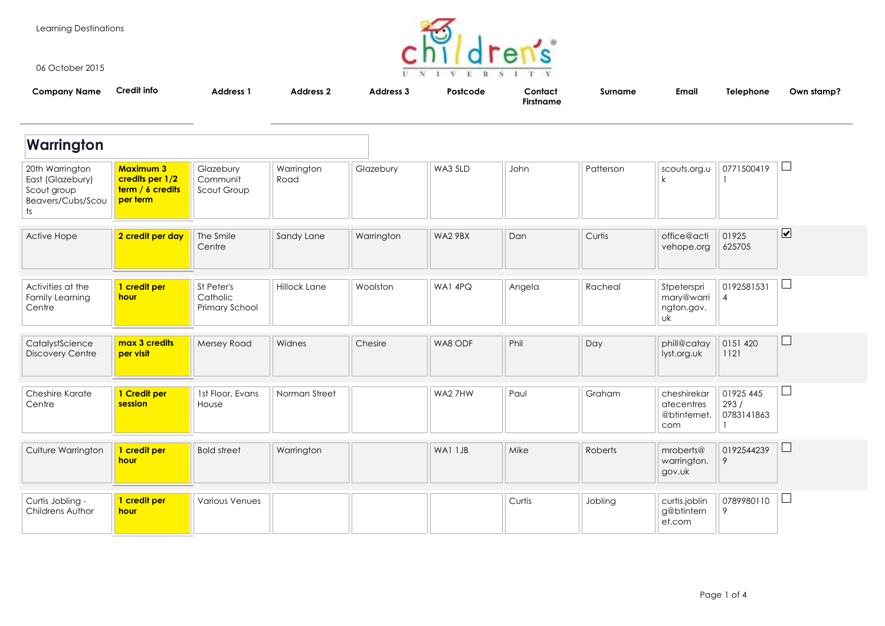Learning Destinations



06 October 2015

| <b>Company Name</b>                                                           | Credit info                                                         | <b>Address 1</b>                         | <b>Address 2</b>   | Address 3  | Postcode | Contact<br><b>Firstname</b> | Surname   | <b>Email</b>                                         | Telephone                       | Own stamp?                   |
|-------------------------------------------------------------------------------|---------------------------------------------------------------------|------------------------------------------|--------------------|------------|----------|-----------------------------|-----------|------------------------------------------------------|---------------------------------|------------------------------|
| Warrington                                                                    |                                                                     |                                          |                    |            |          |                             |           |                                                      |                                 |                              |
| 20th Warrington<br>East (Glazebury)<br>Scout group<br>Beavers/Cubs/Scou<br>ts | <b>Maximum 3</b><br>credits per 1/2<br>term / 6 credits<br>per term | Glazebury<br>Communit<br>Scout Group     | Warrington<br>Road | Glazebury  | WA3 5LD  | John                        | Patterson | scouts.org.u<br>k                                    | 0771500419                      | ⊔                            |
| Active Hope                                                                   | 2 credit per day                                                    | The Smile<br>Centre                      | Sandy Lane         | Warrington | WA2 9BX  | Dan                         | Curtis    | office@acti<br>vehope.org                            | 01925<br>625705                 | $\boxed{\blacktriangledown}$ |
| Activities at the<br>Family Learning<br>Centre                                | 1 credit per<br>hour                                                | St Peter's<br>Catholic<br>Primary School | Hillock Lane       | Woolston   | WA1 4PQ  | Angela                      | Racheal   | Stpeterspri<br>mary@warri<br>ngton.gov.<br><b>uk</b> | 0192581531<br>$\overline{4}$    | ⊔                            |
| CatalystScience<br><b>Discovery Centre</b>                                    | max 3 credits<br>per visit                                          | Mersey Road                              | Widnes             | Chesire    | WA8 ODF  | Phil                        | Day       | phill@catay<br>lyst.org.uk                           | 0151 420<br>1121                | $\Box$                       |
| Cheshire Karate<br>Centre                                                     | 1 Credit per<br>session                                             | 1st Floor, Evans<br>House                | Norman Street      |            | WA2 7HW  | Paul                        | Graham    | cheshirekar<br>atecentres<br>@btinternet.<br>com     | 01925 445<br>293/<br>0783141863 | ⊔                            |
| Culture Warrington                                                            | 1 credit per<br>hour                                                | <b>Bold street</b>                       | Warrington         |            | WA1 1JB  | Mike                        | Roberts   | mroberts@<br>warrington.<br>gov.uk                   | 0192544239<br>9                 | $\Box$                       |
| Curtis Jobling -<br>Childrens Author                                          | 1 credit per<br>hour                                                | <b>Various Venues</b>                    |                    |            |          | Curtis                      | Jobling   | curtis.joblin<br>g@btintern<br>et.com                | 0789980110<br>9                 | $\Box$                       |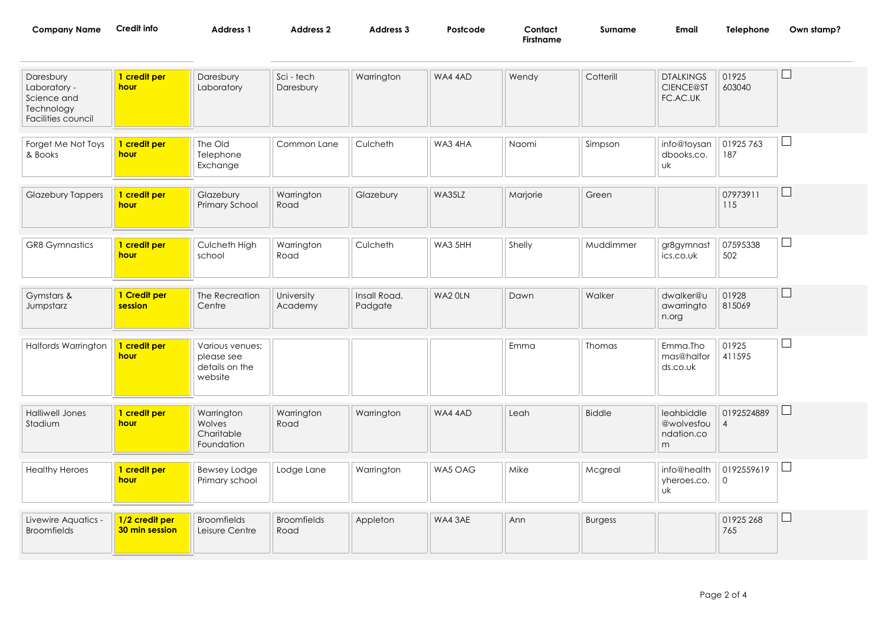| Company Name | Credit info | <b>Address</b> | Address | <b>Address 3</b> | Postcode | Contact   | Surname | Ema. | Telephone<br>and the state of the state of the state of | Own stamp? |
|--------------|-------------|----------------|---------|------------------|----------|-----------|---------|------|---------------------------------------------------------|------------|
|              |             |                |         |                  |          | Firstname |         |      |                                                         |            |
|              |             |                |         |                  |          |           |         |      |                                                         |            |

| Daresbury<br>Laboratory -<br>Science and<br>Technology<br>Facilities council | 1 credit per<br>hour             | Daresbury<br>Laboratory                                    | Sci - tech<br>Daresbury    | Warrington              | WA4 4AD | Wendy    | Cotterill      | <b>DTALKINGS</b><br>CIENCE@ST<br>FC.AC.UK   | 01925<br>603040              | $\sqcup$     |
|------------------------------------------------------------------------------|----------------------------------|------------------------------------------------------------|----------------------------|-------------------------|---------|----------|----------------|---------------------------------------------|------------------------------|--------------|
| Forget Me Not Toys<br>& Books                                                | 1 credit per<br>hour             | The Old<br>Telephone<br>Exchange                           | Common Lane                | Culcheth                | WA3 4HA | Naomi    | Simpson        | info@toysan<br>dbooks.co.<br>υk             | 01925 763<br>187             | $\Box$       |
| <b>Glazebury Tappers</b>                                                     | 1 credit per<br>hour             | Glazebury<br>Primary School                                | Warrington<br>Road         | Glazebury               | WA35LZ  | Marjorie | Green          |                                             | 07973911<br>115              | $\mathsf{L}$ |
| <b>GR8 Gymnastics</b>                                                        | 1 credit per<br><b>hour</b>      | Culcheth High<br>school                                    | Warrington<br>Road         | Culcheth                | WA3 5HH | Shelly   | Muddimmer      | gr8gymnast<br>ics.co.uk                     | 07595338<br>502              | $\Box$       |
| Gymstars &<br>Jumpstarz                                                      | 1 Credit per<br>session          | The Recreation<br>Centre                                   | University<br>Academy      | Insall Road,<br>Padgate | WA2 OLN | Dawn     | Walker         | dwalker@u<br>awarringto<br>n.org            | 01928<br>815069              | $\Box$       |
| <b>Halfords Warrington</b>                                                   | 1 credit per<br><b>hour</b>      | Various venues;<br>please see<br>details on the<br>website |                            |                         |         | Emma     | Thomas         | Emma.Tho<br>mas@halfor<br>ds.co.uk          | 01925<br>411595              | $\sqcup$     |
| <b>Halliwell Jones</b><br>Stadium                                            | 1 credit per<br>hour             | Warrington<br>Wolves<br>Charitable<br>Foundation           | Warrington<br>Road         | Warrington              | WA4 4AD | Leah     | <b>Biddle</b>  | leahbiddle<br>@wolvesfou<br>ndation.co<br>m | 0192524889<br>$\overline{4}$ | ⊔            |
| <b>Healthy Heroes</b>                                                        | 1 credit per<br><b>hour</b>      | <b>Bewsey Lodge</b><br>Primary school                      | Lodge Lane                 | Warrington              | WA5 OAG | Mike     | Mcgreal        | info@health<br>yheroes.co.<br>υk            | 0192559619<br>$\mathbf 0$    | $\sqcup$     |
| Livewire Aquatics -<br><b>Broomfields</b>                                    | 1/2 credit per<br>30 min session | <b>Broomfields</b><br>Leisure Centre                       | <b>Broomfields</b><br>Road | Appleton                | WA4 3AE | Ann      | <b>Burgess</b> |                                             | 01925 268<br>765             | ⊔            |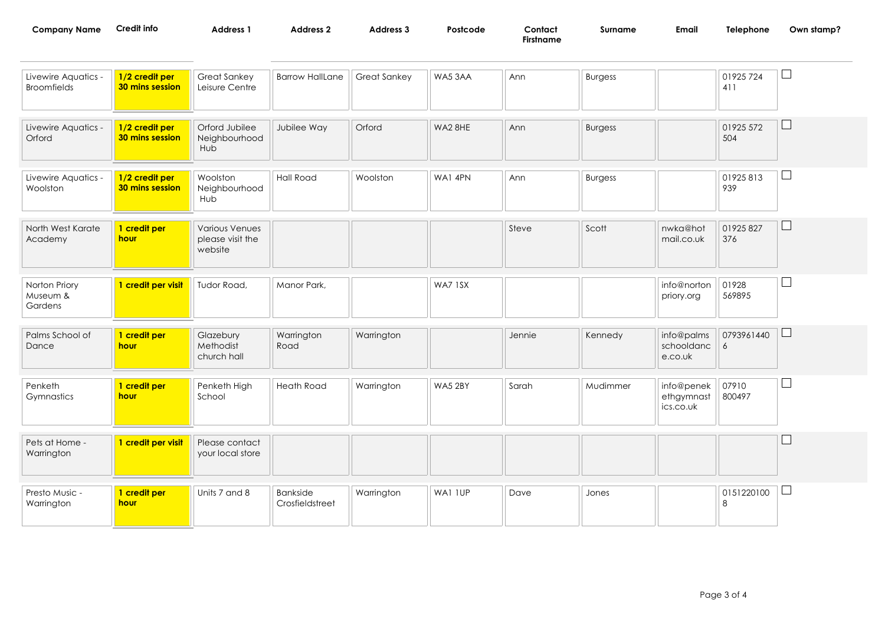| <b>Company Name</b> | Credit info | Address | <b>\ddress</b> . | Address 3 | Postcode | Contact<br>Firstname | Surname | Email | <b>Telephone</b> | Own stamp? |
|---------------------|-------------|---------|------------------|-----------|----------|----------------------|---------|-------|------------------|------------|
|                     |             |         |                  |           |          |                      |         |       |                  |            |

| Livewire Aquatics -<br><b>Broomfields</b> | 1/2 credit per<br>30 mins session        | <b>Great Sankey</b><br>Leisure Centre                | <b>Barrow HallLane</b>      | Great Sankey | WA53AA  | Ann    | <b>Burgess</b> |                                       | 01925 724<br>411 |        |
|-------------------------------------------|------------------------------------------|------------------------------------------------------|-----------------------------|--------------|---------|--------|----------------|---------------------------------------|------------------|--------|
| Livewire Aquatics -<br>Orford             | 1/2 credit per<br>30 mins session        | Orford Jubilee<br>Neighbourhood<br>Hub               | Jubilee Way                 | Orford       | WA2 8HE | Ann    | <b>Burgess</b> |                                       | 01925 572<br>504 | $\Box$ |
| Livewire Aquatics -<br>Woolston           | 1/2 credit per<br><b>30 mins session</b> | Woolston<br>Neighbourhood<br>Hub                     | <b>Hall Road</b>            | Woolston     | WA1 4PN | Ann    | <b>Burgess</b> |                                       | 01925813<br>939  | ⊔      |
| North West Karate<br>Academy              | 1 credit per<br>hour                     | <b>Various Venues</b><br>please visit the<br>website |                             |              |         | Steve  | Scott          | nwka@hot<br>mail.co.uk                | 01925 827<br>376 | $\Box$ |
| Norton Priory<br>Museum &<br>Gardens      | 1 credit per visit                       | Tudor Road,                                          | Manor Park,                 |              | WA7 1SX |        |                | info@norton<br>priory.org             | 01928<br>569895  | $\Box$ |
| Palms School of<br>Dance                  | 1 credit per<br>hour                     | Glazebury<br>Methodist<br>church hall                | Warrington<br>Road          | Warrington   |         | Jennie | Kennedy        | info@palms<br>schooldanc<br>e.co.uk   | 0793961440<br>6  | Ш      |
| Penketh<br>Gymnastics                     | 1 credit per<br><b>hour</b>              | Penketh High<br>School                               | Heath Road                  | Warrington   | WA5 2BY | Sarah  | Mudimmer       | info@penek<br>ethgymnast<br>ics.co.uk | 07910<br>800497  | Ш      |
| Pets at Home -<br>Warrington              | 1 credit per visit                       | Please contact<br>your local store                   |                             |              |         |        |                |                                       |                  |        |
| Presto Music -<br>Warrington              | 1 credit per<br>hour                     | Units 7 and 8                                        | Bankside<br>Crosfieldstreet | Warrington   | WA1 IUP | Dave   | Jones          |                                       | 0151220100<br>8  | ப      |